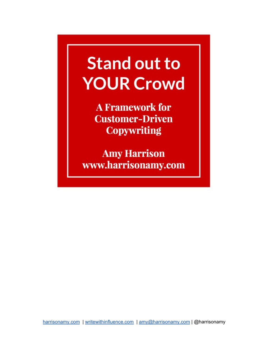# **Stand out to YOUR Crowd**

**A Framework for Customer-Driven Copywriting** 

**Amy Harrison** www.harrisonamy.com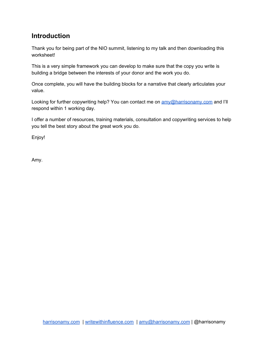# **Introduction**

Thank you for being part of the NIO summit, listening to my talk and then downloading this worksheet!

This is a very simple framework you can develop to make sure that the copy you write is building a bridge between the interests of your donor and the work you do.

Once complete, you will have the building blocks for a narrative that clearly articulates your value.

Looking for further copywriting help? You can contact me on  $\frac{am\sqrt{\omega}}{harrisonam\sqrt{\omega}}$  and I'll respond within 1 working day.

I offer a number of resources, training materials, consultation and copywriting services to help you tell the best story about the great work you do.

Enjoy!

Amy.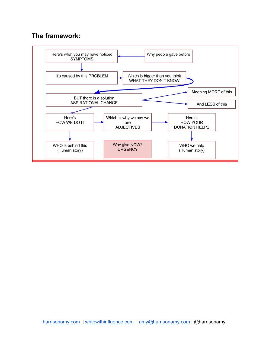### **The framework:**

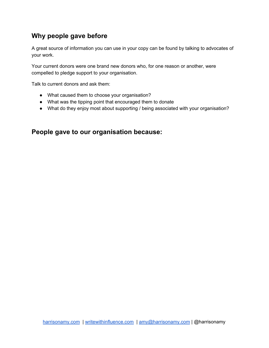# **Why people gave before**

A great source of information you can use in your copy can be found by talking to advocates of your work.

Your current donors were one brand new donors who, for one reason or another, were compelled to pledge support to your organisation.

Talk to current donors and ask them:

- What caused them to choose your organisation?
- What was the tipping point that encouraged them to donate
- What do they enjoy most about supporting / being associated with your organisation?

#### **People gave to our organisation because:**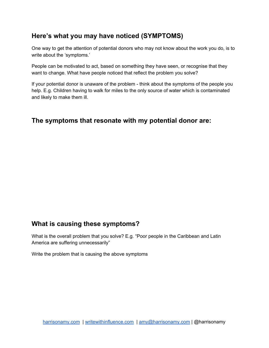## **Here's what you may have noticed (SYMPTOMS)**

One way to get the attention of potential donors who may not know about the work you do, is to write about the 'symptoms.'

People can be motivated to act, based on something they have seen, or recognise that they want to change. What have people noticed that reflect the problem you solve?

If your potential donor is unaware of the problem - think about the symptoms of the people you help. E.g. Children having to walk for miles to the only source of water which is contaminated and likely to make them ill.

#### **The symptoms that resonate with my potential donor are:**

#### **What is causing these symptoms?**

What is the overall problem that you solve? E.g. "Poor people in the Caribbean and Latin America are suffering unnecessarily"

Write the problem that is causing the above symptoms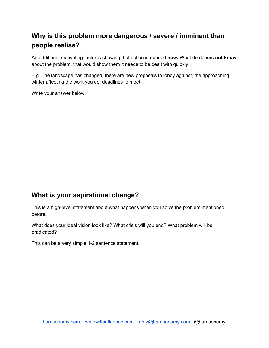# **Why is this problem more dangerous / severe / imminent than people realise?**

An additional motivating factor is showing that action is needed **now.** What do donors **not know** about the problem, that would show them it needs to be dealt with quickly.

E.g. The landscape has changed, there are new proposals to lobby against, the approaching winter affecting the work you do, deadlines to meet.

Write your answer below:

#### **What is your aspirational change?**

This is a high-level statement about what happens when you solve the problem mentioned before**.**

What does your ideal vision look like? What crisis will you end? What problem will be eradicated?

This can be a very simple 1-2 sentence statement.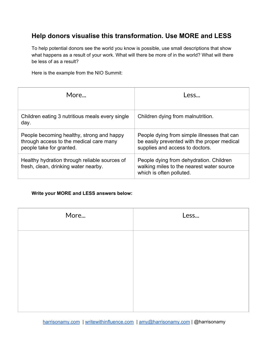# **Help donors visualise this transformation. Use MORE and LESS**

To help potential donors see the world you know is possible, use small descriptions that show what happens as a result of your work. What will there be more of in the world? What will there be less of as a result?

Here is the example from the NIO Summit:

| More                                                                                                             | Less                                                                                                                          |  |
|------------------------------------------------------------------------------------------------------------------|-------------------------------------------------------------------------------------------------------------------------------|--|
| Children eating 3 nutritious meals every single<br>day.                                                          | Children dying from malnutrition.                                                                                             |  |
| People becoming healthy, strong and happy<br>through access to the medical care many<br>people take for granted. | People dying from simple illnesses that can<br>be easily prevented with the proper medical<br>supplies and access to doctors. |  |
| Healthy hydration through reliable sources of<br>fresh, clean, drinking water nearby.                            | People dying from dehydration. Children<br>walking miles to the nearest water source<br>which is often polluted.              |  |

#### **Write your MORE and LESS answers below:**

| More | Less |
|------|------|
|      |      |
|      |      |
|      |      |
|      |      |
|      |      |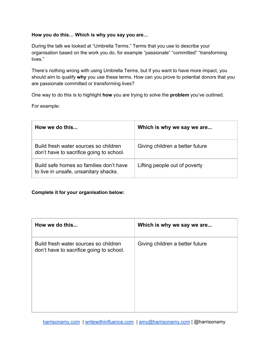#### **How you do this… Which is why you say you are…**

During the talk we looked at "Umbrella Terms." Terms that you use to describe your organisation based on the work you do, for example "passionate" "committed" "transforming lives."

There's nothing wrong with using Umbrella Terms, but if you want to have more impact, you should aim to qualify **why** you use these terms. How can you prove to potential donors that you are passionate committed or transforming lives?

One way to do this is to highlight **how** you are trying to solve the **problem** you've outlined.

For example:

| How we do this                                                                    | Which is why we say we are      |  |
|-----------------------------------------------------------------------------------|---------------------------------|--|
| Build fresh water sources so children<br>don't have to sacrifice going to school. | Giving children a better future |  |
| Build safe homes so families don't have<br>to live in unsafe, unsanitary shacks.  | Lifting people out of poverty   |  |

#### **Complete it for your organisation below:**

| How we do this                                                                    | Which is why we say we are      |
|-----------------------------------------------------------------------------------|---------------------------------|
| Build fresh water sources so children<br>don't have to sacrifice going to school. | Giving children a better future |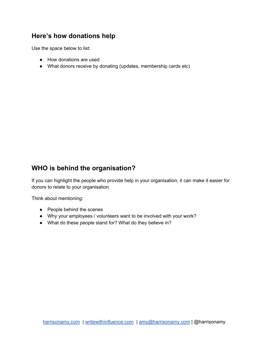# **Here's how donations help**

Use the space below to list:

- How donations are used
- What donors receive by donating (updates, membership cards etc)

# **WHO is behind the organisation?**

If you can highlight the people who provide help in your organisation, it can make it easier for donors to relate to your organisation.

Think about mentioning:

- People behind the scenes
- Why your employees / volunteers want to be involved with your work?
- What do these people stand for? What do they believe in?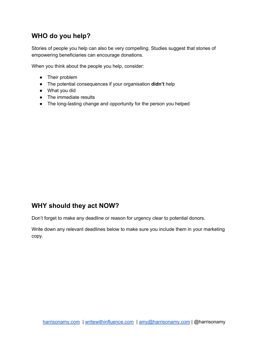# **WHO do you help?**

Stories of people you help can also be very compelling. Studies suggest that stories of empowering beneficiaries can encourage donations.

When you think about the people you help, consider:

- Their problem
- The potential consequences if your organisation **didn't** help
- What you did
- The immediate results
- The long-lasting change and opportunity for the person you helped

#### **WHY should they act NOW?**

Don't forget to make any deadline or reason for urgency clear to potential donors.

Write down any relevant deadlines below to make sure you include them in your marketing copy.